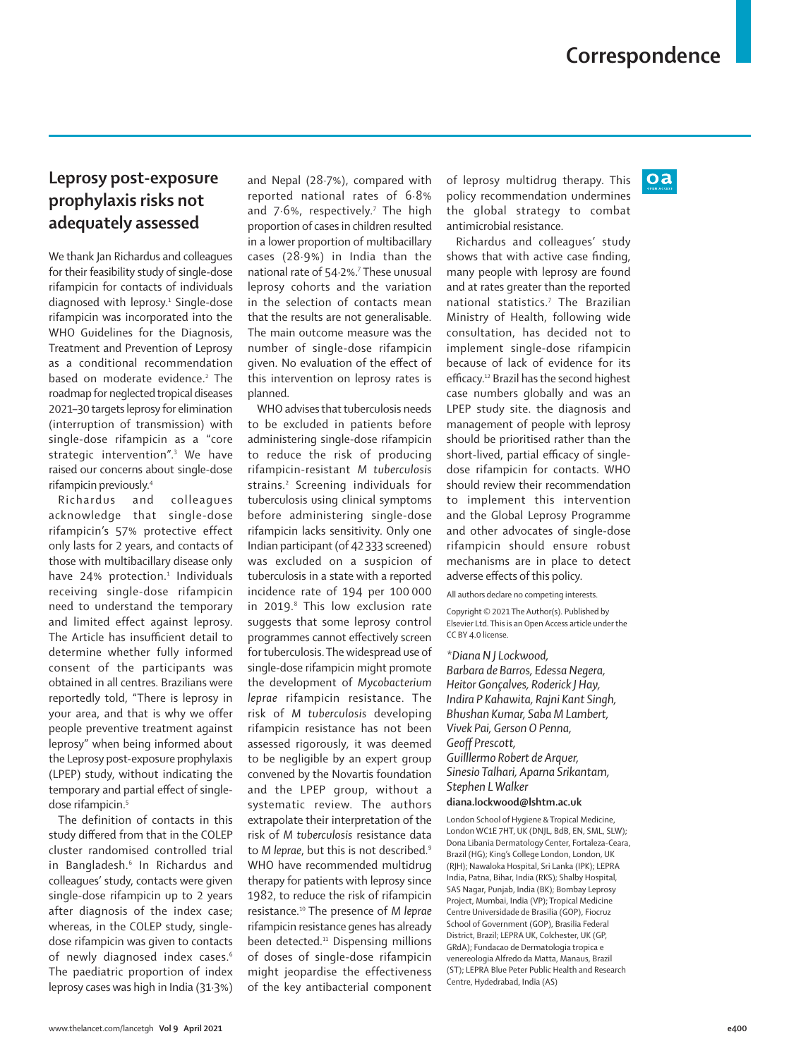$oa$ 

## **Leprosy post-exposure prophylaxis risks not adequately assessed**

We thank Jan Richardus and colleagues for their feasibility study of single-dose rifampicin for contacts of individuals diagnosed with leprosy.1 Single-dose rifampicin was incorporated into the WHO Guidelines for the Diagnosis, Treatment and Prevention of Leprosy as a conditional recommendation based on moderate evidence.<sup>2</sup> The roadmap for neglected tropical diseases 2021–30 targets leprosy for elimination (interruption of transmission) with single-dose rifampicin as a "core strategic intervention".3 We have raised our concerns about single-dose rifampicin previously.4

Richardus and colleagues acknowledge that single-dose rifampicin's 57% protective effect only lasts for 2 years, and contacts of those with multibacillary disease only have 24% protection.<sup>1</sup> Individuals receiving single-dose rifampicin need to understand the temporary and limited effect against leprosy. The Article has insufficient detail to determine whether fully informed consent of the participants was obtained in all centres. Brazilians were reportedly told, "There is leprosy in your area, and that is why we offer people preventive treatment against leprosy" when being informed about the Leprosy post-exposure prophylaxis (LPEP) study, without indicating the temporary and partial effect of singledose rifampicin.<sup>5</sup>

The definition of contacts in this study differed from that in the COLEP cluster randomised controlled trial in Bangladesh.6 In Richardus and colleagues' study, contacts were given single-dose rifampicin up to 2 years after diagnosis of the index case; whereas, in the COLEP study, singledose rifampicin was given to contacts of newly diagnosed index cases.<sup>6</sup> The paediatric proportion of index leprosy cases was high in India (31·3%)

and Nepal (28·7%), compared with reported national rates of 6·8% and  $7.6\%$ , respectively.<sup>7</sup> The high proportion of cases in children resulted in a lower proportion of multibacillary cases (28·9%) in India than the national rate of 54·2%.7 These unusual leprosy cohorts and the variation in the selection of contacts mean that the results are not generalisable. The main outcome measure was the number of single-dose rifampicin given. No evaluation of the effect of this intervention on leprosy rates is planned.

WHO advises that tuberculosis needs to be excluded in patients before administering single-dose rifampicin to reduce the risk of producing rifampicin-resistant *M tuberculosis* strains.2 Screening individuals for tuberculosis using clinical symptoms before administering single-dose rifampicin lacks sensitivity. Only one Indian participant (of 42 333 screened) was excluded on a suspicion of tuberculosis in a state with a reported incidence rate of 194 per 100 000 in 2019.<sup>8</sup> This low exclusion rate suggests that some leprosy control programmes cannot effectively screen for tuberculosis. The widespread use of single-dose rifampicin might promote the development of *Mycobacterium leprae* rifampicin resistance. The risk of *M tuberculosis* developing rifampicin resistance has not been assessed rigorously, it was deemed to be negligible by an expert group convened by the Novartis foundation and the LPEP group, without a systematic review. The authors extrapolate their interpretation of the risk of *M tuberculosis* resistance data to *M leprae*, but this is not described.9 WHO have recommended multidrug therapy for patients with leprosy since 1982, to reduce the risk of rifampicin resistance.10 The presence of *M leprae* rifampicin resistance genes has already been detected.<sup>11</sup> Dispensing millions of doses of single-dose rifampicin might jeopardise the effectiveness of the key antibacterial component of leprosy multidrug therapy. This policy recommendation undermines the global strategy to combat antimicrobial resistance.

Richardus and colleagues' study shows that with active case finding, many people with leprosy are found and at rates greater than the reported national statistics.7 The Brazilian Ministry of Health, following wide consultation, has decided not to implement single-dose rifampicin because of lack of evidence for its efficacy.12 Brazil has the second highest case numbers globally and was an LPEP study site. the diagnosis and management of people with leprosy should be prioritised rather than the short-lived, partial efficacy of singledose rifampicin for contacts. WHO should review their recommendation to implement this intervention and the Global Leprosy Programme and other advocates of single-dose rifampicin should ensure robust mechanisms are in place to detect adverse effects of this policy.

All authors declare no competing interests.

Copyright © 2021 The Author(s). Published by Elsevier Ltd. This is an Open Access article under the CC BY 4.0 license

*\*Diana N J Lockwood, Barbara de Barros, Edessa Negera, Heitor Gonçalves, Roderick J Hay, Indira P Kahawita, Rajni Kant Singh, Bhushan Kumar, Saba M Lambert, Vivek Pai, Gerson O Penna, Geoff Prescott, Guilllermo Robert de Arquer, Sinesio Talhari, Aparna Srikantam, Stephen L Walker* **diana.lockwood@lshtm.ac.uk**

London School of Hygiene & Tropical Medicine, London WC1E 7HT, UK (DNJL, BdB, EN, SML, SLW); Dona Libania Dermatology Center, Fortaleza-Ceara, Brazil (HG); King's College London, London, UK (RJH); Nawaloka Hospital, Sri Lanka (IPK); LEPRA India, Patna, Bihar, India (RKS); Shalby Hospital, SAS Nagar, Punjab, India (BK); Bombay Leprosy Project, Mumbai, India (VP); Tropical Medicine Centre Universidade de Brasilia (GOP), Fiocruz School of Government (GOP), Brasilia Federal District, Brazil; LEPRA UK, Colchester, UK (GP, GRdA); Fundacao de Dermatologia tropica e venereologia Alfredo da Matta, Manaus, Brazil (ST); LEPRA Blue Peter Public Health and Research Centre, Hydedrabad, India (AS)